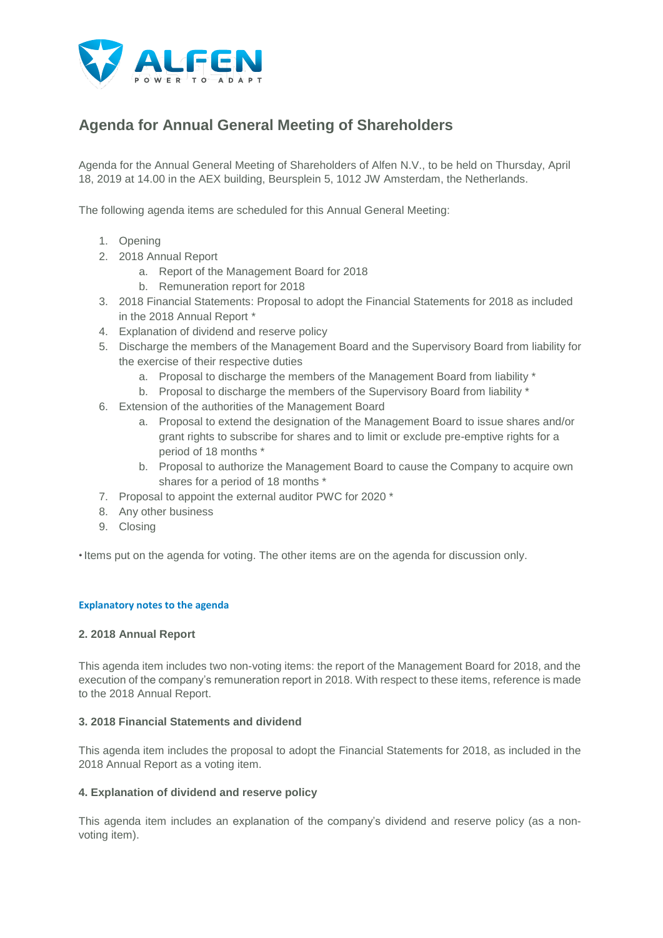

# **Agenda for Annual General Meeting of Shareholders**

Agenda for the Annual General Meeting of Shareholders of Alfen N.V., to be held on Thursday, April 18, 2019 at 14.00 in the AEX building, Beursplein 5, 1012 JW Amsterdam, the Netherlands.

The following agenda items are scheduled for this Annual General Meeting:

- 1. Opening
- 2. 2018 Annual Report
	- a. Report of the Management Board for 2018
	- b. Remuneration report for 2018
- 3. 2018 Financial Statements: Proposal to adopt the Financial Statements for 2018 as included in the 2018 Annual Report \*
- 4. Explanation of dividend and reserve policy
- 5. Discharge the members of the Management Board and the Supervisory Board from liability for the exercise of their respective duties
	- a. Proposal to discharge the members of the Management Board from liability \*
	- b. Proposal to discharge the members of the Supervisory Board from liability \*
- 6. Extension of the authorities of the Management Board
	- a. Proposal to extend the designation of the Management Board to issue shares and/or grant rights to subscribe for shares and to limit or exclude pre-emptive rights for a period of 18 months \*
	- b. Proposal to authorize the Management Board to cause the Company to acquire own shares for a period of 18 months \*
- 7. Proposal to appoint the external auditor PWC for 2020 \*
- 8. Any other business
- 9. Closing

\* Items put on the agenda for voting. The other items are on the agenda for discussion only.

## **Explanatory notes to the agenda**

## **2. 2018 Annual Report**

This agenda item includes two non-voting items: the report of the Management Board for 2018, and the execution of the company's remuneration report in 2018. With respect to these items, reference is made to the 2018 Annual Report.

## **3. 2018 Financial Statements and dividend**

This agenda item includes the proposal to adopt the Financial Statements for 2018, as included in the 2018 Annual Report as a voting item.

## **4. Explanation of dividend and reserve policy**

This agenda item includes an explanation of the company's dividend and reserve policy (as a nonvoting item).